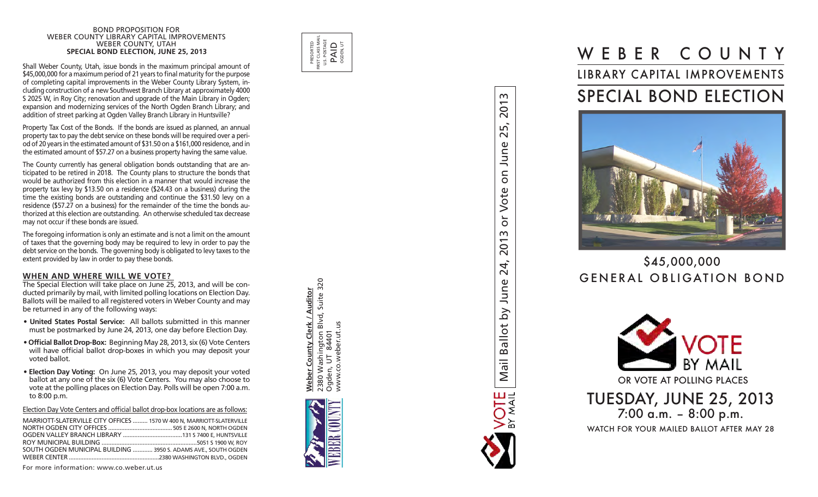#### BOND PROPOSITION FOR WEBER COUNTY LIBRARY CAPITAL IMPROVEMENTS WEBER COUNTY, UTAH **SPECIAL BOND ELECTION, JUNE 25, 2013**

Shall Weber County, Utah, issue bonds in the maximum principal amount of \$45,000,000 for a maximum period of 21 years to final maturity for the purpose of completing capital improvements in the Weber County Library System, in cluding construction of a new Southwest Branch Library at approximately 4000 S 2025 W, in Roy City; renovation and upgrade of the Main Library in Ogden; expansion and modernizing services of the North Ogden Branch Library; and addition of street parking at Ogden Valley Branch Library in Huntsville?

Property Tax Cost of the Bonds. If the bonds are issued as planned, an annual property tax to pay the debt service on these bonds will be required over a peri od of 20 years in the estimated amount of \$31.50 on a \$161,000 residence, and in the estimated amount of \$57.27 on a business property having the same value.

The County currently has general obligation bonds outstanding that are an ticipated to be retired in 2018. The County plans to structure the bonds that would be authorized from this election in a manner that would increase the property tax levy by \$13.50 on a residence (\$24.43 on a business) during the time the existing bonds are outstanding and continue the \$31.50 levy on a residence (\$57.27 on a business) for the remainder of the time the bonds au thorized at this election are outstanding. An otherwise scheduled tax decrease may not occur if these bonds are issued.

The foregoing information is only an estimate and is not a limit on the amount of taxes that the governing body may be required to levy in order to pay the debt service on the bonds. The governing body is obligated to levy taxes to the extent provided by law in order to pay these bonds.

#### **When and Wh e r e Will W e Vote?**

The Special Election will take place on June 25, 2013, and will be con ducted primarily by mail, with limited polling locations on Election Day. Ballots will be mailed to all registered voters in Weber County and may be returned in any of the following ways:

- **United States Postal Service:** All ballots submitted in this manner must be postmarked by June 24, 2013, one day before Election Day.
- **Official Ballot Drop-Box:** Beginning May 28, 2013, six (6) Vote Centers will have official ballot drop-boxes in which you may deposit your voted ballot.
- **Election Day Voting:** On June 25, 2013, you may deposit your voted ballot at any one of the six (6) Vote Centers. You may also choose to vote at the polling places on Election Day. Polls will be open 7:00 a.m. to 8:00 p.m.

Election Day Vote Centers and official ballot drop-box locations are as follows:

| MARRIOTT-SLATERVILLE CITY OFFICES  1570 W 400 N, MARRIOTT-SLATERVILLE |
|-----------------------------------------------------------------------|
|                                                                       |
|                                                                       |
|                                                                       |
| SOUTH OGDEN MUNICIPAL BUILDING  3950 S. ADAMS AVE., SOUTH OGDEN       |
|                                                                       |
|                                                                       |

For more information: www.co.weber.ut.us



**Weber County Clerk / Auditor** 2380 Washington Blvd, Suite 320

**Weber County Clerk / Auditor** 2380 Washington Blvd, Suite<br>Ogden, UT 84401

320

Ogden, UT 84401 www.co.weber.ut.us

www.co.weber.ut.





# \$45,000,000 GENERAL OBLIGATION BOND





 $\sim$ 201

ഛ്  $\sim$  $\mathbf 0$ Dun<sub>l</sub>

 $\overline{5}$ 

Vote

 $\overline{C}$  $\infty$ 201

24,

June

 $\overline{a}$ 

Ballot